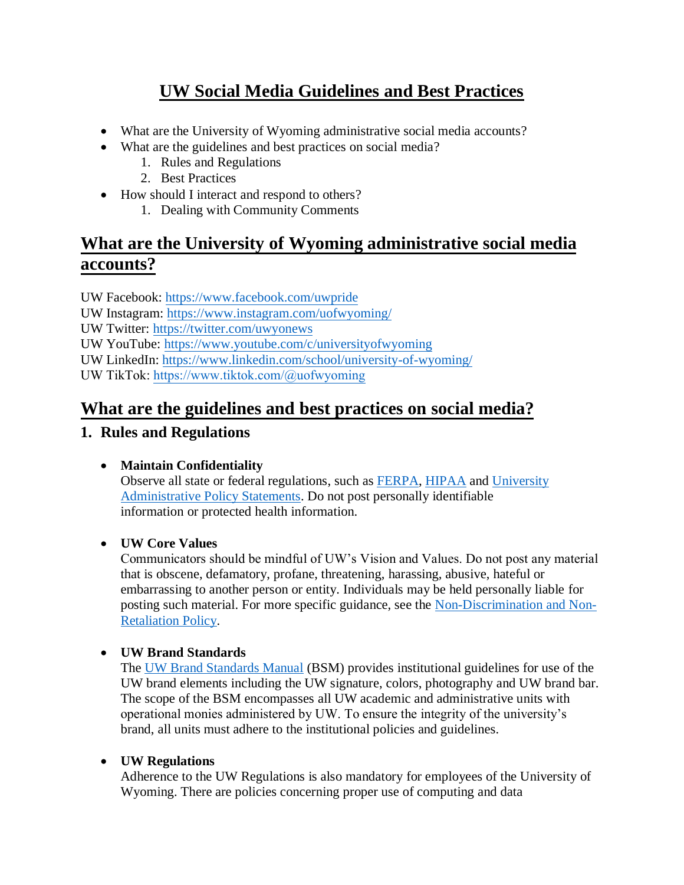# **UW Social Media Guidelines and Best Practices**

- What are the University of Wyoming administrative social media accounts?
- What are the guidelines and best practices on social media?
	- 1. Rules and Regulations
	- 2. Best Practices
- How should I interact and respond to others?
	- 1. Dealing with Community Comments

# **What are the University of Wyoming administrative social media accounts?**

UW Facebook:<https://www.facebook.com/uwpride> UW Instagram:<https://www.instagram.com/uofwyoming/> UW Twitter:<https://twitter.com/uwyonews> UW YouTube:<https://www.youtube.com/c/universityofwyoming> UW LinkedIn: <https://www.linkedin.com/school/university-of-wyoming/> UW TikTok:<https://www.tiktok.com/@uofwyoming>

# **What are the guidelines and best practices on social media?**

## **1. Rules and Regulations**

## • **Maintain Confidentiality**

Observe all state or federal regulations, such as [FERPA,](http://www.uwyo.edu/registrar/ferpa/) [HIPAA](http://www.uwyo.edu/hs/uw-hippa-policies/) and [University](http://www.uwyo.edu/regs-policies/) [Administrative Policy Statements.](http://www.uwyo.edu/regs-policies/) Do not post personally identifiable information or protected health information.

### • **UW Core Values**

Communicators should be mindful of UW's Vision and Values. Do not post any material that is obscene, defamatory, profane, threatening, harassing, abusive, hateful or embarrassing to another person or entity. Individuals may be held personally liable for posting such material. For more specific guidance, see the [Non-Discrimination and Non-](http://www.uwyo.edu/regs-policies/section-4-diversity-and-equal-opportunity/index.html)[Retaliation Policy.](http://www.uwyo.edu/regs-policies/section-4-diversity-and-equal-opportunity/index.html)

## • **UW Brand Standards**

The [UW Brand Standards Manual](http://www.uwyo.edu/publicrelations/marketing/uwbrand.html) (BSM) provides institutional guidelines for use of the UW brand elements including the UW signature, colors, photography and UW brand bar. The scope of the BSM encompasses all UW academic and administrative units with operational monies administered by UW. To ensure the integrity of the university's brand, all units must adhere to the institutional policies and guidelines.

### • **UW Regulations**

Adherence to the UW Regulations is also mandatory for employees of the University of Wyoming. There are policies concerning proper use of computing and data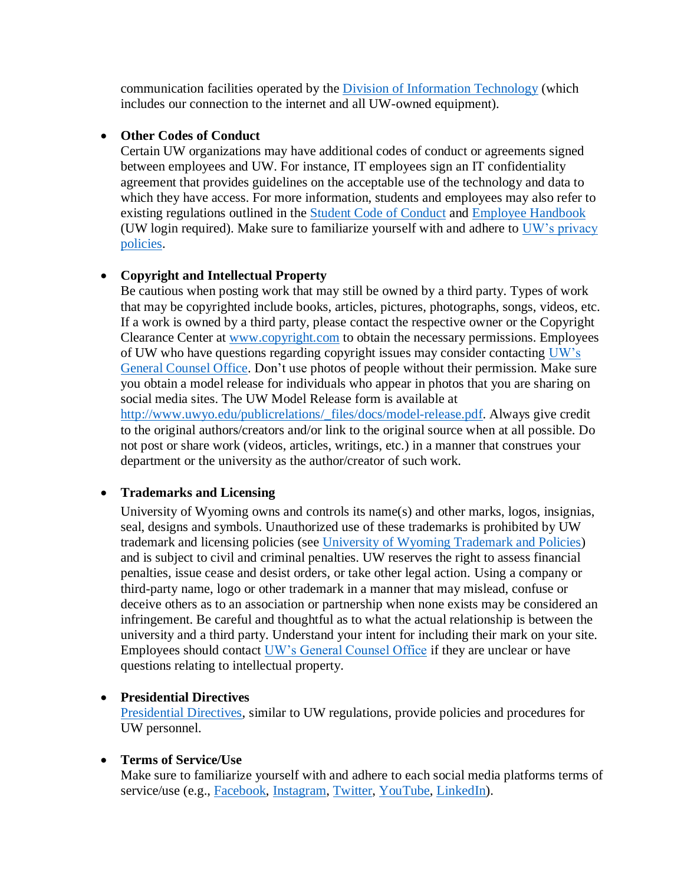communication facilities operated by the [Division of Information Technology](http://www.uwyo.edu/regs-policies/section-8-information-technology/) (which includes our connection to the internet and all UW-owned equipment).

### • **Other Codes of Conduct**

Certain UW organizations may have additional codes of conduct or agreements signed between employees and UW. For instance, IT employees sign an IT confidentiality agreement that provides guidelines on the acceptable use of the technology and data to which they have access. For more information, students and employees may also refer to existing regulations outlined in the [Student Code of Conduct](https://www.uwyo.edu/dos/conduct/) and [Employee Handbook](http://www.uwyo.edu/hr/_files/docs/human-resources/employee-handbook.pdf) (UW login required). Make sure to familiarize yourself with and adhere to [UW's privacy](https://securelb.imodules.com/s/1254/14/interior.aspx?sid=1254&gid=1&pgid=230&cid=157) [policies.](https://securelb.imodules.com/s/1254/14/interior.aspx?sid=1254&gid=1&pgid=230&cid=157)

### • **Copyright and Intellectual Property**

Be cautious when posting work that may still be owned by a third party. Types of work that may be copyrighted include books, articles, pictures, photographs, songs, videos, etc. If a work is owned by a third party, please contact the respective owner or the Copyright Clearance Center at [www.copyright.com](http://www.copyright.com/) to obtain the necessary permissions. Employees of UW who have questions regarding copyright issues may consider contacting [UW's](http://www.uwyo.edu/generalcounsel/) [General Counsel Office.](http://www.uwyo.edu/generalcounsel/) Don't use photos of people without their permission. Make sure you obtain a model release for individuals who appear in photos that you are sharing on social media sites. The UW Model Release form is available at http://www.uwyo.edu/publicrelations/\_files/docs/model-release.pdf. Always give credit to the original authors/creators and/or link to the original source when at all possible. Do not post or share work (videos, articles, writings, etc.) in a manner that construes your department or the university as the author/creator of such work.

### • **Trademarks and Licensing**

University of Wyoming owns and controls its name(s) and other marks, logos, insignias, seal, designs and symbols. Unauthorized use of these trademarks is prohibited by UW trademark and licensing policies (see [University of Wyoming Trademark and Policies\)](http://www.uwyo.edu/uwlicensing/) and is subject to civil and criminal penalties. UW reserves the right to assess financial penalties, issue cease and desist orders, or take other legal action. Using a company or third-party name, logo or other trademark in a manner that may mislead, confuse or deceive others as to an association or partnership when none exists may be considered an infringement. Be careful and thoughtful as to what the actual relationship is between the university and a third party. Understand your intent for including their mark on your site. Employees should contact [UW's General Counsel Office](http://www.uwyo.edu/generalcounsel/) if they are unclear or have questions relating to intellectual property.

### • **Presidential Directives**

[Presidential Directives,](http://www.uwyo.edu/regs-policies/) similar to UW regulations, provide policies and procedures for UW personnel.

#### • **Terms of Service/Use**

Make sure to familiarize yourself with and adhere to each social media platforms terms of service/use (e.g., [Facebook,](https://www.facebook.com/terms.php) [Instagram,](https://help.instagram.com/581066165581870?helpref=faq_content) [Twitter,](https://twitter.com/en/tos) [YouTube,](https://www.youtube.com/static?template=terms) [LinkedIn\)](https://www.linkedin.com/legal/user-agreement).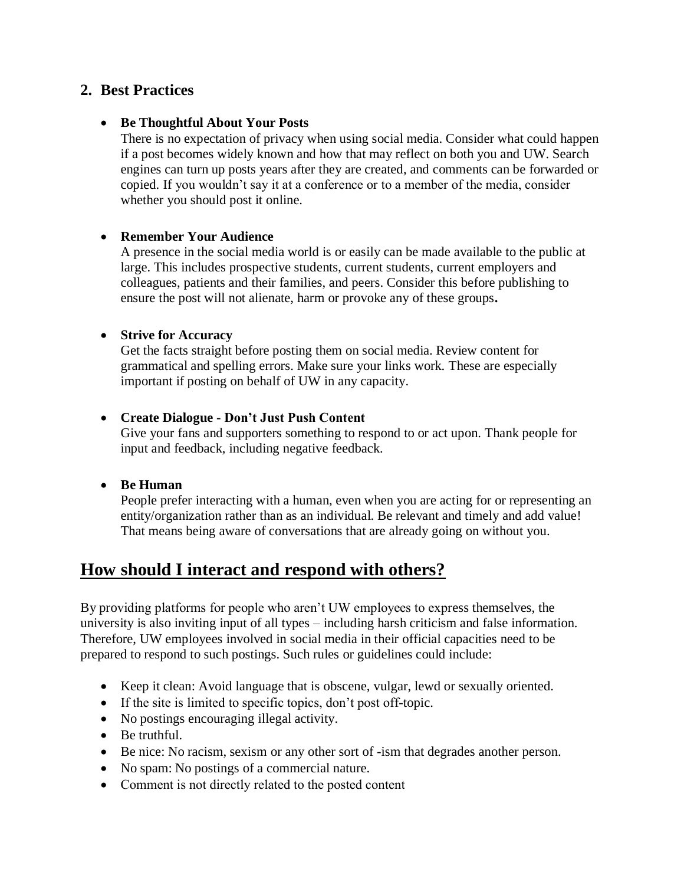### **2. Best Practices**

### • **Be Thoughtful About Your Posts**

There is no expectation of privacy when using social media. Consider what could happen if a post becomes widely known and how that may reflect on both you and UW. Search engines can turn up posts years after they are created, and comments can be forwarded or copied. If you wouldn't say it at a conference or to a member of the media, consider whether you should post it online.

#### • **Remember Your Audience**

A presence in the social media world is or easily can be made available to the public at large. This includes prospective students, current students, current employers and colleagues, patients and their families, and peers. Consider this before publishing to ensure the post will not alienate, harm or provoke any of these groups**.**

#### • **Strive for Accuracy**

Get the facts straight before posting them on social media. Review content for grammatical and spelling errors. Make sure your links work. These are especially important if posting on behalf of UW in any capacity.

#### • **Create Dialogue - Don't Just Push Content**

Give your fans and supporters something to respond to or act upon. Thank people for input and feedback, including negative feedback.

### • **Be Human**

People prefer interacting with a human, even when you are acting for or representing an entity/organization rather than as an individual. Be relevant and timely and add value! That means being aware of conversations that are already going on without you.

## **How should I interact and respond with others?**

By providing platforms for people who aren't UW employees to express themselves, the university is also inviting input of all types – including harsh criticism and false information. Therefore, UW employees involved in social media in their official capacities need to be prepared to respond to such postings. Such rules or guidelines could include:

- Keep it clean: Avoid language that is obscene, vulgar, lewd or sexually oriented.
- If the site is limited to specific topics, don't post off-topic.
- No postings encouraging illegal activity.
- Be truthful.
- Be nice: No racism, sexism or any other sort of -ism that degrades another person.
- No spam: No postings of a commercial nature.
- Comment is not directly related to the posted content